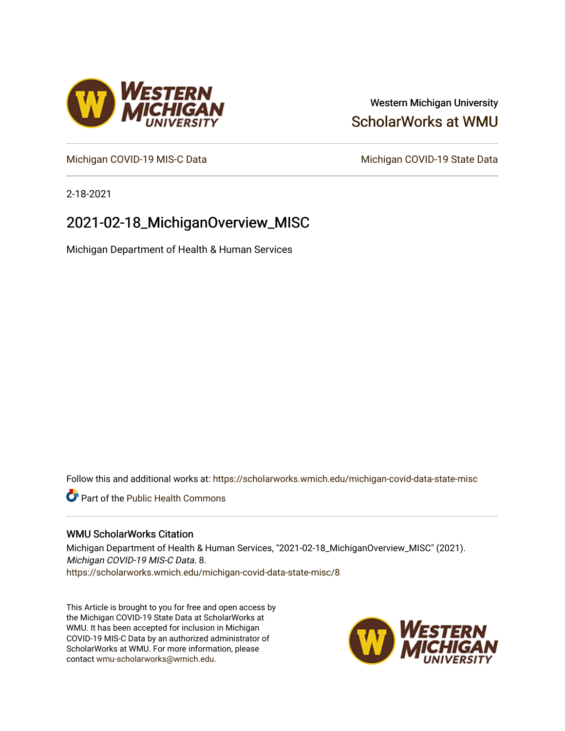### Western Michigan University [ScholarWorks at WMU](https://scholarworks.wmich.edu/)

[Michigan COVID-19 MIS-C Data](https://scholarworks.wmich.edu/michigan-covid-data-state-misc) Michigan COVID-19 State Data

2-18-2021

## 2021-02-18\_MichiganOverview\_MISC

Michigan Department of Health & Human Services

Follow this and additional works at: [https://scholarworks.wmich.edu/michigan-covid-data-state-misc](https://scholarworks.wmich.edu/michigan-covid-data-state-misc?utm_source=scholarworks.wmich.edu%2Fmichigan-covid-data-state-misc%2F8&utm_medium=PDF&utm_campaign=PDFCoverPages) 

**Part of the Public Health Commons** 

#### WMU ScholarWorks Citation

Michigan Department of Health & Human Services, "2021-02-18\_MichiganOverview\_MISC" (2021). Michigan COVID-19 MIS-C Data. 8. [https://scholarworks.wmich.edu/michigan-covid-data-state-misc/8](https://scholarworks.wmich.edu/michigan-covid-data-state-misc/8?utm_source=scholarworks.wmich.edu%2Fmichigan-covid-data-state-misc%2F8&utm_medium=PDF&utm_campaign=PDFCoverPages) 

This Article is brought to you for free and open access by the Michigan COVID-19 State Data at ScholarWorks at WMU. It has been accepted for inclusion in Michigan COVID-19 MIS-C Data by an authorized administrator of ScholarWorks at WMU. For more information, please contact [wmu-scholarworks@wmich.edu](mailto:wmu-scholarworks@wmich.edu).